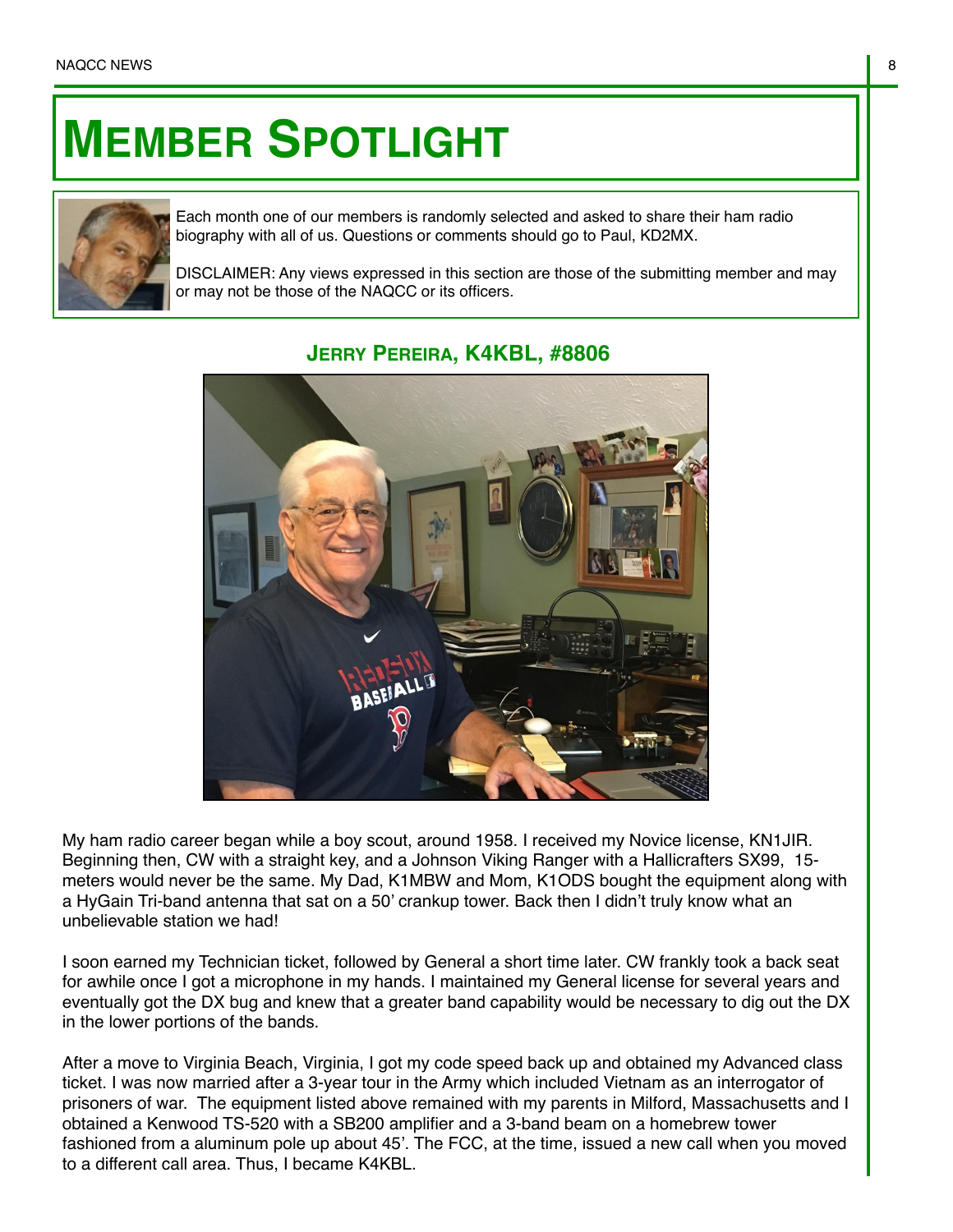## **MEMBER SPOTLIGHT**



Each month one of our members is randomly selected and asked to share their ham radio biography with all of us. Questions or comments should go to Paul, KD2MX.

DISCLAIMER: Any views expressed in this section are those of the submitting member and may or may not be those of the NAQCC or its officers.



## **JERRY PEREIRA, K4KBL, #8806**

My ham radio career began while a boy scout, around 1958. I received my Novice license, KN1JIR. Beginning then, CW with a straight key, and a Johnson Viking Ranger with a Hallicrafters SX99, 15 meters would never be the same. My Dad, K1MBW and Mom, K1ODS bought the equipment along with a HyGain Tri-band antenna that sat on a 50' crankup tower. Back then I didn't truly know what an unbelievable station we had!

I soon earned my Technician ticket, followed by General a short time later. CW frankly took a back seat for awhile once I got a microphone in my hands. I maintained my General license for several years and eventually got the DX bug and knew that a greater band capability would be necessary to dig out the DX in the lower portions of the bands.

After a move to Virginia Beach, Virginia, I got my code speed back up and obtained my Advanced class ticket. I was now married after a 3-year tour in the Army which included Vietnam as an interrogator of prisoners of war. The equipment listed above remained with my parents in Milford, Massachusetts and I obtained a Kenwood TS-520 with a SB200 amplifier and a 3-band beam on a homebrew tower fashioned from a aluminum pole up about 45'. The FCC, at the time, issued a new call when you moved to a different call area. Thus, I became K4KBL.